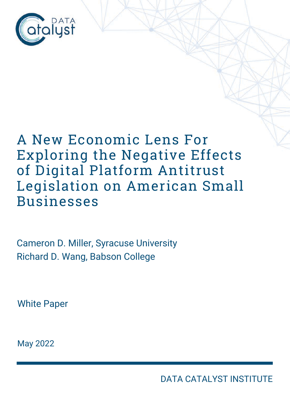

# A New Economic Lens For Exploring the Negative Effects of Digital Platform Antitrust Legislation on American Small Businesses

Cameron D. Miller, Syracuse University Richard D. Wang, Babson College

White Paper

May 2022

DATA CATALYST INSTITUTE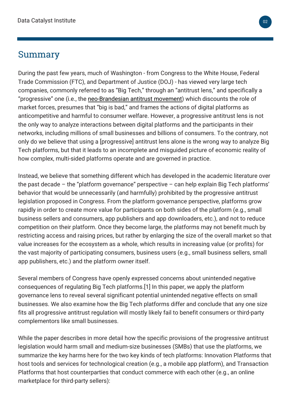#### Summary

During the past few years, much of Washington - from Congress to the White House, Federal Trade Commission (FTC), and Department of Justice (DOJ) - has viewed very large tech companies, commonly referred to as "Big Tech," through an "antitrust lens," and specifically a "progressive" one (i.e., the [neo-Brandesian antitrust movement\)](https://www.cato.org/blog/new-brandeis-hipster-antitrust-comes-washington) which discounts the role of market forces, presumes that "big is bad," and frames the actions of digital platforms as anticompetitive and harmful to consumer welfare. However, a progressive antitrust lens is not the only way to analyze interactions between digital platforms and the participants in their networks, including millions of small businesses and billions of consumers. To the contrary, not only do we believe that using a [progressive] antitrust lens alone is the wrong way to analyze Big Tech platforms, but that it leads to an incomplete and misguided picture of economic reality of how complex, multi-sided platforms operate and are governed in practice.

Instead, we believe that something different which has developed in the academic literature over the past decade – the "platform governance" perspective – can help explain Big Tech platforms' behavior that would be unnecessarily (and harmfully) prohibited by the progressive antitrust legislation proposed in Congress. From the platform governance perspective, platforms grow rapidly in order to create more value for participants on both sides of the platform (e.g., small business sellers and consumers, app publishers and app downloaders, etc.), and not to reduce competition on their platform. Once they become large, the platforms may not benefit much by restricting access and raising prices, but rather by enlarging the size of the overall market so that value increases for the ecosystem as a whole, which results in increasing value (or profits) for the vast majority of participating consumers, business users (e.g., small business sellers, small app publishers, etc.) and the platform owner itself.

Several members of Congress have openly expressed concerns about unintended negative consequences of regulating Big Tech platforms.[1] In this paper, we apply the platform governance lens to reveal several significant potential unintended negative effects on small businesses. We also examine how the Big Tech platforms differ and conclude that any one size fits all progressive antitrust regulation will mostly likely fail to benefit consumers or third-party complementors like small businesses.

While the paper describes in more detail how the specific provisions of the progressive antitrust legislation would harm small and medium-size businesses (SMBs) that use the platforms, we summarize the key harms here for the two key kinds of tech platforms: Innovation Platforms that host tools and services for technological creation (e.g., a mobile app platform), and Transaction Platforms that host counterparties that conduct commerce with each other (e.g., an online marketplace for third-party sellers):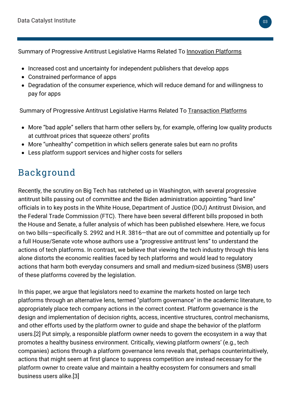Summary of Progressive Antitrust Legislative Harms Related To Innovation Platforms

- Increased cost and uncertainty for independent publishers that develop apps
- Constrained performance of apps
- Degradation of the consumer experience, which will reduce demand for and willingness to pay for apps

Summary of Progressive Antitrust Legislative Harms Related To Transaction Platforms

- More "bad apple" sellers that harm other sellers by, for example, offering low quality products at cutthroat prices that squeeze others' profits
- More "unhealthy" competition in which sellers generate sales but earn no profits
- Less platform support services and higher costs for sellers

# Background

Recently, the scrutiny on Big Tech has ratcheted up in Washington, with several progressive antitrust bills passing out of committee and the Biden administration appointing "hard line" officials in to key posts in the White House, Department of Justice (DOJ) Antitrust Division, and the Federal Trade Commission (FTC). There have been several different bills proposed in both the House and Senate, [a fuller analysis of which has been published elsewhere](https://datacatalyst.org/reports/analysis-of-the-house-judiciary-committee-tech-antitrust-legislation-and-report-card-on-populist-antitrust/). Here, we focus on two bills—specifically S. 2992 and H.R. 3816—that are out of committee and potentially up for a full House/Senate vote whose authors use a "progressive antitrust lens" to understand the actions of tech platforms. In contrast, we believe that viewing the tech industry through this lens alone distorts the economic realities faced by tech platforms and would lead to regulatory actions that harm both everyday consumers and small and medium-sized business (SMB) users of these platforms covered by the legislation.

In this paper, we argue that legislators need to examine the markets hosted on large tech platforms through an alternative lens, termed "platform governance" in the academic literature, to appropriately place tech company actions in the correct context. Platform governance is the design and implementation of decision rights, access, incentive structures, control mechanisms, and other efforts used by the platform owner to guide and shape the behavior of the platform users.[2] Put simply, a responsible platform owner needs to govern the ecosystem in a way that promotes a healthy business environment. Critically, viewing platform owners' (e.g., tech companies) actions through a platform governance lens reveals that, perhaps counterintuitively, actions that might seem at first glance to suppress competition are instead necessary for the platform owner to create value and maintain a healthy ecosystem for consumers and small business users alike.[3]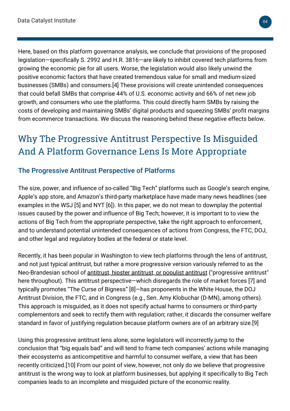Here, based on this platform governance analysis, we conclude that provisions of the proposed legislation—specifically S. 2992 and H.R. 3816—are likely to inhibit covered tech platforms from growing the economic pie for all users. Worse, the legislation would also likely unwind the positive economic factors that have created tremendous value for small and medium-sized businesses (SMBs) and consumers.[4] These provisions will create unintended consequences that could befall SMBs that comprise 44% of U.S. economic activity and 66% of net new job growth, and consumers who use the platforms. This could directly harm SMBs by raising the costs of developing and maintaining SMBs' digital products and squeezing SMBs' profit margins from ecommerce transactions. We discuss the reasoning behind these negative effects below.

# Why The Progressive Antitrust Perspective Is Misguided And A Platform Governance Lens Is More Appropriate

#### The Progressive Antitrust Perspective of Platforms

The size, power, and influence of so-called "Big Tech" platforms such as Google's search engine, Apple's app store, and Amazon's third-party marketplace have made many news headlines (see examples in the WSJ [5] and NYT [6]). In this paper, we do not mean to downplay the potential issues caused by the power and influence of Big Tech; however, it is important to to view the actions of Big Tech from the appropriate perspective, take the right approach to enforcement, and to understand potential unintended consequences of actions from Congress, the FTC, DOJ, and other legal and regulatory bodies at the federal or state level.

Recently, it has been popular in Washington to view tech platforms through the lens of antitrust, and not just typical antitrust, but rather a more progressive version variously referred to as the Neo-Brandesian school of [antitrust, hipster antitrust, or populist antitrust](https://datacatalyst.org/reports/nightmare-on-main-street-the-effects-of-populist-antitrust-on-americas-small-businesses/) ("progressive antitrust" here throughout). This antitrust perspective—which disregards the role of market forces [7] and typically promotes "The Curse of Bigness" [8]—has proponents in the White House, the DOJ Antitrust Division, the FTC, and in Congress (e.g., Sen. Amy Klobuchar (D-MN), among others). This approach is misguided, as it does not specify actual harms to consumers or third-party complementors and seek to rectify them with regulation; rather, it discards the consumer welfare standard in favor of justifying regulation because platform owners are of an arbitrary size.[9]

Using this progressive antitrust lens alone, some legislators will incorrectly jump to the conclusion that "big equals bad" and will tend to frame tech companies' actions while managing their ecosystems as anticompetitive and harmful to consumer welfare, a view that has been recently criticized.[10] From our point of view, however, not only do we believe that progressive antitrust is the wrong way to look at platform businesses, but applying it specifically to Big Tech companies leads to an incomplete and misguided picture of the economic reality.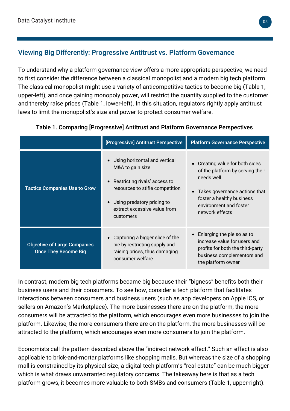#### Viewing Big Differently: Progressive Antitrust vs. Platform Governance

To understand why a platform governance view offers a more appropriate perspective, we need to first consider the difference between a classical monopolist and a modern big tech platform. The classical monopolist might use a variety of anticompetitive tactics to become big (Table 1, upper-left), and once gaining monopoly power, will restrict the quantity supplied to the customer and thereby raise prices (Table 1, lower-left). In this situation, regulators rightly apply antitrust laws to limit the monopolist's size and power to protect consumer welfare.

|                                                                    | [Progressive] Antitrust Perspective                                                                                                                                                                           | <b>Platform Governance Perspective</b>                                                                                                                                                       |
|--------------------------------------------------------------------|---------------------------------------------------------------------------------------------------------------------------------------------------------------------------------------------------------------|----------------------------------------------------------------------------------------------------------------------------------------------------------------------------------------------|
| <b>Tactics Companies Use to Grow</b>                               | Using horizontal and vertical<br>M&A to gain size<br>Restricting rivals' access to<br>$\bullet$<br>resources to stifle competition<br>Using predatory pricing to<br>extract excessive value from<br>customers | • Creating value for both sides<br>of the platform by serving their<br>needs well<br>Takes governance actions that<br>foster a healthy business<br>environment and foster<br>network effects |
| <b>Objective of Large Companies</b><br><b>Once They Become Big</b> | Capturing a bigger slice of the<br>pie by restricting supply and<br>raising prices, thus damaging<br>consumer welfare                                                                                         | Enlarging the pie so as to<br>increase value for users and<br>profits for both the third-party<br>business complementors and<br>the platform owner                                           |

Table 1. Comparing [Progressive] Antitrust and Platform Governance Perspectives

In contrast, modern big tech platforms became big because their "bigness" benefits both their business users and their consumers. To see how, consider a tech platform that facilitates interactions between consumers and business users (such as app developers on Apple iOS, or sellers on Amazon's Marketplace). The more businesses there are on the platform, the more consumers will be attracted to the platform, which encourages even more businesses to join the platform. Likewise, the more consumers there are on the platform, the more businesses will be attracted to the platform, which encourages even more consumers to join the platform.

Economists call the pattern described above the "indirect network effect." Such an effect is also applicable to brick-and-mortar platforms like shopping malls. But whereas the size of a shopping mall is constrained by its physical size, a digital tech platform's "real estate" can be much bigger which is what draws unwarranted regulatory concerns. The takeaway here is that as a tech platform grows, it becomes more valuable to both SMBs and consumers (Table 1, upper-right).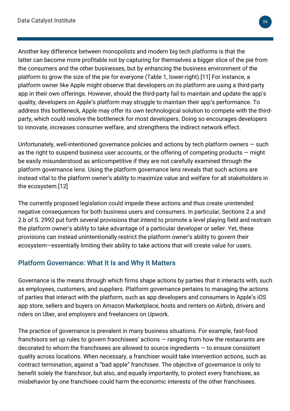Another key difference between monopolists and modern big tech platforms is that the latter can become more profitable not by capturing for themselves a bigger slice of the pie from the consumers and the other businesses, but by enhancing the business environment of the platform to grow the size of the pie for everyone (Table 1, lower-right).[11] For instance, a platform owner like Apple might observe that developers on its platform are using a third-party app in their own offerings. However, should the third-party fail to maintain and update the app's quality, developers on Apple's platform may struggle to maintain their app's performance. To address this bottleneck, Apple may offer its own technological solution to compete with the thirdparty, which could resolve the bottleneck for most developers. Doing so encourages developers to innovate, increases consumer welfare, and strengthens the indirect network effect.

Unfortunately, well-intentioned governance policies and actions by tech platform owners  $-$  such as the right to suspend business user accounts, or the offering of competing products  $-$  might be easily misunderstood as anticompetitive if they are not carefully examined through the platform governance lens. Using the platform governance lens reveals that such actions are instead vital to the platform owner's ability to maximize value and welfare for all stakeholders in the ecosystem.[12]

The currently proposed legislation could impede these actions and thus create unintended negative consequences for both business users and consumers. In particular, Sections 2.a and 2.b of S. 2992 put forth several provisions that intend to promote a level playing field and restrain the platform owner's ability to take advantage of a particular developer or seller. Yet, these provisions can instead unintentionally restrict the platform owner's ability to govern their ecosystem—essentially limiting their ability to take actions that will create value for users.

#### Platform Governance: What It Is and Why It Matters

Governance is the means through which firms shape actions by parties that it interacts with, such as employees, customers, and suppliers. Platform governance pertains to managing the actions of parties that interact with the platform, such as app developers and consumers in Apple's iOS app store, sellers and buyers on Amazon Marketplace, hosts and renters on Airbnb, drivers and riders on Uber, and employers and freelancers on Upwork.

The practice of governance is prevalent in many business situations. For example, fast-food franchisors set up rules to govern franchisees' actions — ranging from how the restaurants are decorated to whom the franchisees are allowed to source ingredients — to ensure consistent quality across locations. When necessary, a franchiser would take intervention actions, such as contract termination, against a "bad apple" franchisee. The objective of governance is only to benefit solely the franchisor, but also, and equally importantly, to protect every franchisee, as misbehavior by one franchisee could harm the economic interests of the other franchisees.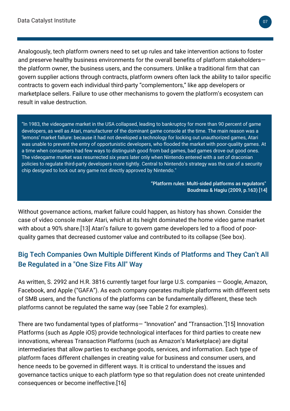Analogously, tech platform owners need to set up rules and take intervention actions to foster and preserve healthy business environments for the overall benefits of platform stakeholders the platform owner, the business users, and the consumers. Unlike a traditional firm that can govern supplier actions through contracts, platform owners often lack the ability to tailor specific contracts to govern each individual third-party "complementors," like app developers or marketplace sellers. Failure to use other mechanisms to govern the platform's ecosystem can result in value destruction.

"In 1983, the videogame market in the USA collapsed, leading to bankruptcy for more than 90 percent of game developers, as well as Atari, manufacturer of the dominant game console at the time. The main reason was a 'lemons' market failure: because it had not developed a technology for locking out unauthorized games, Atari was unable to prevent the entry of opportunistic developers, who flooded the market with poor-quality games. At a time when consumers had few ways to distinguish good from bad games, bad games drove out good ones. The videogame market was resurrected six years later only when Nintendo entered with a set of draconian policies to regulate third-party developers more tightly. Central to Nintendo's strategy was the use of a security chip designed to lock out any game not directly approved by Nintendo."

> "Platform rules: Multi-sided platforms as regulators" Boudreau & Hagiu (2009, p.163) [14]

Without governance actions, market failure could happen, as history has shown. Consider the case of video console maker Atari, which at its height dominated the home video game market with about a 90% share.[13] Atari's failure to govern game developers led to a flood of poorquality games that decreased customer value and contributed to its collapse (See box).

#### Big Tech Companies Own Multiple Different Kinds of Platforms and They Can't All Be Regulated in a "One Size Fits All" Way

As written, S. 2992 and H.R. 3816 currently target four large U.S. companies — Google, Amazon, Facebook, and Apple ("GAFA"). As each company operates multiple platforms with different sets of SMB users, and the functions of the platforms can be fundamentally different, these tech platforms cannot be regulated the same way (see Table 2 for examples).

There are two fundamental types of platforms— "Innovation" and "Transaction."[15] Innovation Platforms (such as Apple iOS) provide technological interfaces for third parties to create new innovations, whereas Transaction Platforms (such as Amazon's Marketplace) are digital intermediaries that allow parties to exchange goods, services, and information. Each type of platform faces different challenges in creating value for business and consumer users, and hence needs to be governed in different ways. It is critical to understand the issues and governance tactics unique to each platform type so that regulation does not create unintended consequences or become ineffective.[16]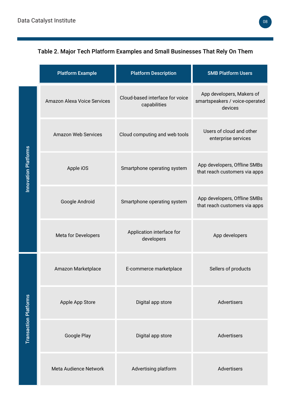#### Table 2. Major Tech Platform Examples and Small Businesses That Rely On Them

|                              | <b>Platform Example</b>     | <b>Platform Description</b>                     | <b>SMB Platform Users</b>                                              |
|------------------------------|-----------------------------|-------------------------------------------------|------------------------------------------------------------------------|
| <b>Innovation Platforms</b>  | Amazon Alexa Voice Services | Cloud-based interface for voice<br>capabilities | App developers, Makers of<br>smartspeakers / voice-operated<br>devices |
|                              | <b>Amazon Web Services</b>  | Cloud computing and web tools                   | Users of cloud and other<br>enterprise services                        |
|                              | Apple iOS                   | Smartphone operating system                     | App developers, Offline SMBs<br>that reach customers via apps          |
|                              | Google Android              | Smartphone operating system                     | App developers, Offline SMBs<br>that reach customers via apps          |
|                              | Meta for Developers         | Application interface for<br>developers         | App developers                                                         |
| <b>Transaction Platforms</b> | Amazon Marketplace          | E-commerce marketplace                          | Sellers of products                                                    |
|                              | Apple App Store             | Digital app store                               | Advertisers                                                            |
|                              | Google Play                 | Digital app store                               | Advertisers                                                            |
|                              | Meta Audience Network       | Advertising platform                            | Advertisers                                                            |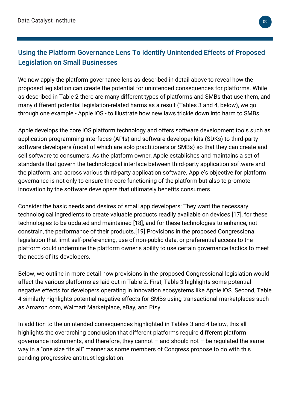#### Using the Platform Governance Lens To Identify Unintended Effects of Proposed Legislation on Small Businesses

We now apply the platform governance lens as described in detail above to reveal how the proposed legislation can create the potential for unintended consequences for platforms. While as described in Table 2 there are many different types of platforms and SMBs that use them, and many different potential legislation-related harms as a result (Tables 3 and 4, below), we go through one example - Apple iOS - to illustrate how new laws trickle down into harm to SMBs.

Apple develops the core iOS platform technology and offers software development tools such as application programming interfaces (APIs) and software developer kits (SDKs) to third-party software developers (most of which are solo practitioners or SMBs) so that they can create and sell software to consumers. As the platform owner, Apple establishes and maintains a set of standards that govern the technological interface between third-party application software and the platform, and across various third-party application software. Apple's objective for platform governance is not only to ensure the core functioning of the platform but also to promote innovation by the software developers that ultimately benefits consumers.

Consider the basic needs and desires of small app developers: They want the necessary technological ingredients to create valuable products readily available on devices [17], for these technologies to be updated and maintained [18], and for these technologies to enhance, not constrain, the performance of their products.[19] Provisions in the proposed Congressional legislation that limit self-preferencing, use of non-public data, or preferential access to the platform could undermine the platform owner's ability to use certain governance tactics to meet the needs of its developers.

Below, we outline in more detail how provisions in the proposed Congressional legislation would affect the various platforms as laid out in Table 2. First, Table 3 highlights some potential negative effects for developers operating in innovation ecosystems like Apple iOS. Second, Table 4 similarly highlights potential negative effects for SMBs using transactional marketplaces such as Amazon.com, Walmart Marketplace, eBay, and Etsy.

In addition to the unintended consequences highlighted in Tables 3 and 4 below, this all highlights the overarching conclusion that different platforms require different platform governance instruments, and therefore, they cannot  $-$  and should not  $-$  be regulated the same way in a "one size fits all" manner as some members of Congress propose to do with this pending progressive antitrust legislation.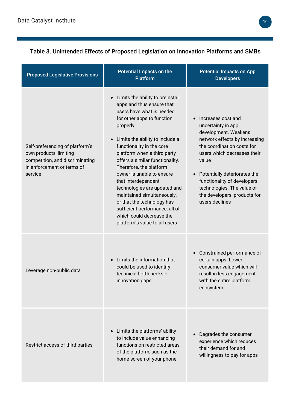| <b>Proposed Legislative Provisions</b>                                                                                                | <b>Potential Impacts on the</b><br><b>Platform</b>                                                                                                                                                                                                                                                                                                                                                                                                                                                                                                                         | <b>Potential Impacts on App</b><br><b>Developers</b>                                                                                                                                                                                                                                                                                 |
|---------------------------------------------------------------------------------------------------------------------------------------|----------------------------------------------------------------------------------------------------------------------------------------------------------------------------------------------------------------------------------------------------------------------------------------------------------------------------------------------------------------------------------------------------------------------------------------------------------------------------------------------------------------------------------------------------------------------------|--------------------------------------------------------------------------------------------------------------------------------------------------------------------------------------------------------------------------------------------------------------------------------------------------------------------------------------|
| Self-preferencing of platform's<br>own products, limiting<br>competition, and discriminating<br>in enforcement or terms of<br>service | Limits the ability to preinstall<br>$\bullet$<br>apps and thus ensure that<br>users have what is needed<br>for other apps to function<br>properly<br>Limits the ability to include a<br>$\bullet$<br>functionality in the core<br>platform when a third party<br>offers a similar functionality.<br>Therefore, the platform<br>owner is unable to ensure<br>that interdependent<br>technologies are updated and<br>maintained simultaneously,<br>or that the technology has<br>sufficient performance, all of<br>which could decrease the<br>platform's value to all users | Increases cost and<br>uncertainty in app<br>development. Weakens<br>network effects by increasing<br>the coordination costs for<br>users which decreases their<br>value<br>Potentially deteriorates the<br>$\bullet$<br>functionality of developers'<br>technologies. The value of<br>the developers' products for<br>users declines |
| Leverage non-public data                                                                                                              | Limits the information that<br>$\bullet$<br>could be used to identify<br>technical bottlenecks or<br>innovation gaps                                                                                                                                                                                                                                                                                                                                                                                                                                                       | Constrained performance of<br>certain apps. Lower<br>consumer value which will<br>result in less engagement<br>with the entire platform<br>ecosystem                                                                                                                                                                                 |
| Restrict access of third parties                                                                                                      | Limits the platforms' ability<br>$\bullet$<br>to include value enhancing<br>functions on restricted areas<br>of the platform, such as the<br>home screen of your phone                                                                                                                                                                                                                                                                                                                                                                                                     | Degrades the consumer<br>experience which reduces<br>their demand for and<br>willingness to pay for apps                                                                                                                                                                                                                             |

#### Table 3. Unintended Effects of Proposed Legislation on Innovation Platforms and SMBs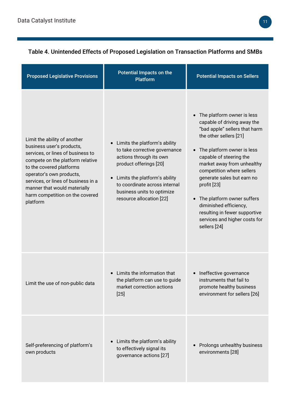Table 4. Unintended Effects of Proposed Legislation on Transaction Platforms and SMBs

| <b>Proposed Legislative Provisions</b>                                                                                                                                                                                                                                                                           | Potential Impacts on the<br><b>Platform</b>                                                                                                                                                                                                                               | <b>Potential Impacts on Sellers</b>                                                                                                                                                                                                                                                                                                                                                                                                                                    |
|------------------------------------------------------------------------------------------------------------------------------------------------------------------------------------------------------------------------------------------------------------------------------------------------------------------|---------------------------------------------------------------------------------------------------------------------------------------------------------------------------------------------------------------------------------------------------------------------------|------------------------------------------------------------------------------------------------------------------------------------------------------------------------------------------------------------------------------------------------------------------------------------------------------------------------------------------------------------------------------------------------------------------------------------------------------------------------|
| Limit the ability of another<br>business user's products,<br>services, or lines of business to<br>compete on the platform relative<br>to the covered platforms<br>operator's own products,<br>services, or lines of business in a<br>manner that would materially<br>harm competition on the covered<br>platform | Limits the platform's ability<br>$\bullet$<br>to take corrective governance<br>actions through its own<br>product offerings [20]<br>Limits the platform's ability<br>$\bullet$<br>to coordinate across internal<br>business units to optimize<br>resource allocation [22] | The platform owner is less<br>$\bullet$<br>capable of driving away the<br>"bad apple" sellers that harm<br>the other sellers [21]<br>The platform owner is less<br>$\bullet$<br>capable of steering the<br>market away from unhealthy<br>competition where sellers<br>generate sales but earn no<br>profit [23]<br>The platform owner suffers<br>$\bullet$<br>diminished efficiency,<br>resulting in fewer supportive<br>services and higher costs for<br>sellers [24] |
| Limit the use of non-public data                                                                                                                                                                                                                                                                                 | Limits the information that<br>the platform can use to guide<br>market correction actions<br>$[25]$                                                                                                                                                                       | Ineffective governance<br>$\bullet$<br>instruments that fail to<br>promote healthy business<br>environment for sellers [26]                                                                                                                                                                                                                                                                                                                                            |
| Self-preferencing of platform's<br>own products                                                                                                                                                                                                                                                                  | Limits the platform's ability<br>٠<br>to effectively signal its<br>governance actions [27]                                                                                                                                                                                | Prolongs unhealthy business<br>environments [28]                                                                                                                                                                                                                                                                                                                                                                                                                       |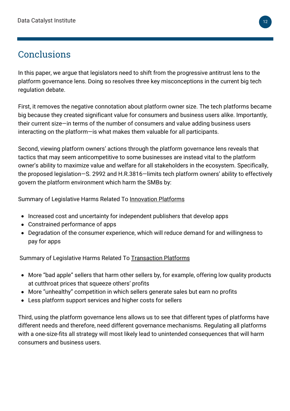## Conclusions

In this paper, we argue that legislators need to shift from the progressive antitrust lens to the platform governance lens. Doing so resolves three key misconceptions in the current big tech regulation debate.

First, it removes the negative connotation about platform owner size. The tech platforms became big because they created significant value for consumers and business users alike. Importantly, their current size—in terms of the number of consumers and value adding business users interacting on the platform—is what makes them valuable for all participants.

Second, viewing platform owners' actions through the platform governance lens reveals that tactics that may seem anticompetitive to some businesses are instead vital to the platform owner's ability to maximize value and welfare for all stakeholders in the ecosystem. Specifically, the proposed legislation—S. 2992 and H.R.3816—limits tech platform owners' ability to effectively govern the platform environment which harm the SMBs by:

Summary of Legislative Harms Related To Innovation Platforms

- Increased cost and uncertainty for independent publishers that develop apps
- Constrained performance of apps
- Degradation of the consumer experience, which will reduce demand for and willingness to pay for apps

Summary of Legislative Harms Related To Transaction Platforms

- More "bad apple" sellers that harm other sellers by, for example, offering low quality products at cutthroat prices that squeeze others' profits
- More "unhealthy" competition in which sellers generate sales but earn no profits
- Less platform support services and higher costs for sellers

Third, using the platform governance lens allows us to see that different types of platforms have different needs and therefore, need different governance mechanisms. Regulating all platforms with a one-size-fits all strategy will most likely lead to unintended consequences that will harm consumers and business users.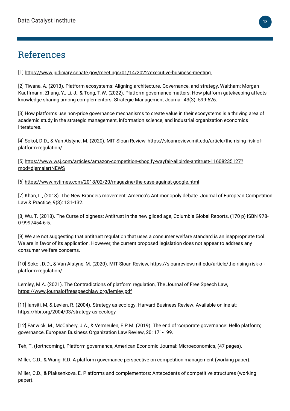### References

[1] <https://www.judiciary.senate.gov/meetings/01/14/2022/executive-business-meeting>

[2] Tiwana, A. (2013). Platform ecosystems: Aligning architecture. Governance, and strategy, Waltham: Morgan Kauffmann. Zhang, Y., Li, J., & Tong, T.W. (2022). Platform governance matters: How platform gatekeeping affects knowledge sharing among complementors. Strategic Management Journal, 43(3): 599-626.

[3] How platforms use non-price governance mechanisms to create value in their ecosystems is a thriving area of academic study in the strategic management, information science, and industrial organization economics literatures.

[\[4\] Sokol, D.D., & Van Alstyne, M. \(2020\). MIT Sloan Review, https://sloanreview.mit.edu/article/the-rising-risk-of](https://sloanreview.mit.edu/article/the-rising-risk-of-platform-regulation/)platform-regulation/

[\[5\] https://www.wsj.com/articles/amazon-competition-shopify-wayfair-allbirds-antitrust-11608235127?](https://www.wsj.com/articles/amazon-competition-shopify-wayfair-allbirds-antitrust-11608235127?mod=djemalertNEWS) mod=djemalertNEW[S](https://www.wsj.com/articles/amazon-competition-shopify-wayfair-allbirds-antitrust-11608235127?mod=djemalertNEWS)

[6] <https://www.nytimes.com/2018/02/20/magazine/the-case-against-google.html>

[7] Khan, L., (2018). The New Brandeis movement: America's Antimonopoly debate. Journal of European Competition Law & Practice, 9(3): 131-132.

[8] Wu, T. (2018). The Curse of bigness: Antitrust in the new gilded age, Columbia Global Reports, (170 p) ISBN 978- 0-9997454-6-5.

[9] We are not suggesting that antitrust regulation that uses a consumer welfare standard is an inappropriate tool. We are in favor of its application. However, the current proposed legislation does not appear to address any consumer welfare concerns.

[\[10\] Sokol, D.D., & Van Alstyne, M. \(2020\). MIT Sloan Review, https://sloanreview.mit.edu/article/the-rising-risk-of](https://sloanreview.mit.edu/article/the-rising-risk-of-platform-regulation/)platform-regulation/.

Lemley, M.A. (2021). The Contradictions of platform regulation, The Journal of Free Speech Law, <https://www.journaloffreespeechlaw.org/lemley.pdf>

[11] Iansiti, M, & Levien, R. (2004). Strategy as ecology. Harvard Business Review. Available online at: <https://hbr.org/2004/03/strategy-as-ecology>

[12] Fanwick, M., McCahery, J.A., & Vermeulen, E.P.M. (2019). The end of 'corporate governance: Hello platform; governance, European Business Organization Law Review, 20: 171-199.

Teh, T. (forthcoming), Platform governance, American Economic Journal: Microeconomics, (47 pages).

Miller, C.D., & Wang, R.D. A platform governance perspective on competition management (working paper).

Miller, C.D., & Plaksenkova, E. Platforms and complementors: Antecedents of competitive structures (working paper).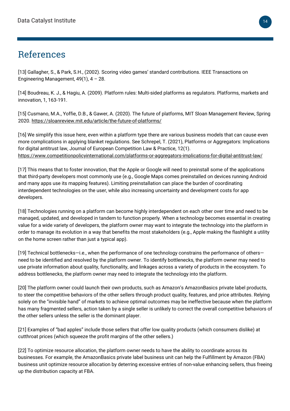### References

[13] Gallagher, S., & Park, S.H., (2002). Scoring video games' standard contributions. IEEE Transactions on Engineering Management,  $49(1)$ ,  $4 - 28$ .

[14] Boudreau, K. J., & Hagiu, A. (2009). Platform rules: Multi-sided platforms as regulators. Platforms, markets and innovation, 1, 163-191.

[15] Cusmano, M.A., Yoffie, D.B., & Gawer, A. (2020). The future of platforms, MIT Sloan Management Review, Spring 2020.<https://sloanreview.mit.edu/article/the-future-of-platforms/>

[16] We simplify this issue here, even within a platform type there are various business models that can cause even more complications in applying blanket regulations. See Schrepel, T. (2021), Platforms or Aggregators: Implications for digital antitrust law, Journal of European Competition Law & Practice, 12(1). <https://www.competitionpolicyinternational.com/platforms-or-aggregators-implications-for-digital-antitrust-law/>

[17] This means that to foster innovation, that the Apple or Google will need to preinstall some of the applications that third-party developers most commonly use (e.g., Google Maps comes preinstalled on devices running Android and many apps use its mapping features). Limiting preinstallation can place the burden of coordinating interdependent technologies on the user, while also increasing uncertainty and development costs for app developers.

[18] Technologies running on a platform can become highly interdependent on each other over time and need to be managed, updated, and developed in tandem to function properly. When a technology becomes essential in creating value for a wide variety of developers, the platform owner may want to integrate the technology into the platform in order to manage its evolution in a way that benefits the most stakeholders (e.g., Apple making the flashlight a utility on the home screen rather than just a typical app).

[19] Technical bottlenecks—i.e., when the performance of one technology constrains the performance of others need to be identified and resolved by the platform owner. To identify bottlenecks, the platform owner may need to use private information about quality, functionality, and linkages across a variety of products in the ecosystem. To address bottlenecks, the platform owner may need to integrate the technology into the platform.

[20] The platform owner could launch their own products, such as Amazon's AmazonBasics private label products, to steer the competitive behaviors of the other sellers through product quality, features, and price attributes. Relying solely on the "invisible hand" of markets to achieve optimal outcomes may be ineffective because when the platform has many fragmented sellers, action taken by a single seller is unlikely to correct the overall competitive behaviors of the other sellers unless the seller is the dominant player.

[21] Examples of "bad apples" include those sellers that offer low quality products (which consumers dislike) at cutthroat prices (which squeeze the profit margins of the other sellers.)

[22] To optimize resource allocation, the platform owner needs to have the ability to coordinate across its businesses. For example, the AmazonBasics private label business unit can help the Fulfillment by Amazon (FBA) business unit optimize resource allocation by deterring excessive entries of non-value enhancing sellers, thus freeing up the distribution capacity at FBA.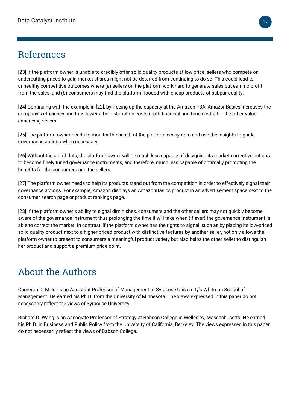### References

[23] If the platform owner is unable to credibly offer solid quality products at low price, sellers who compete on undercutting prices to gain market shares might not be deterred from continuing to do so. This could lead to unhealthy competitive outcomes where (a) sellers on the platform work hard to generate sales but earn no profit from the sales, and (b) consumers may find the platform flooded with cheap products of subpar quality.

[24] Continuing with the example in [22], by freeing up the capacity at the Amazon FBA, AmazonBasics increases the company's efficiency and thus lowers the distribution costs (both financial and time costs) for the other value enhancing sellers.

[25] The platform owner needs to monitor the health of the platform ecosystem and use the insights to guide governance actions when necessary.

[26] Without the aid of data, the platform owner will be much less capable of designing its market corrective actions to become finely tuned governance instruments, and therefore, much less capable of optimally promoting the benefits for the consumers and the sellers.

[27] The platform owner needs to help its products stand out from the competition in order to effectively signal their governance actions. For example, Amazon displays an AmazonBasics product in an advertisement space next to the consumer search page or product rankings page.

[28] If the platform owner's ability to signal diminishes, consumers and the other sellers may not quickly become aware of the governance instrument thus prolonging the time it will take when (if ever) the governance instrument is able to correct the market. In contrast, if the platform owner has the rights to signal, such as by placing its low-priced solid quality product next to a higher priced product with distinctive features by another seller, not only allows the platform owner to present to consumers a meaningful product variety but also helps the other seller to distinguish her product and support a premium price point.

# About the Authors

Cameron D. Miller is an Assistant Professor of Management at Syracuse University's Whitman School of Management. He earned his Ph.D. from the University of Minnesota. The views expressed in this paper do not necessarily reflect the views of Syracuse University.

Richard D. Wang is an Associate Professor of Strategy at Babson College in Wellesley, Massachusetts. He earned his Ph.D. in Business and Public Policy from the University of California, Berkeley. The views expressed in this paper do not necessarily reflect the views of Babson College.